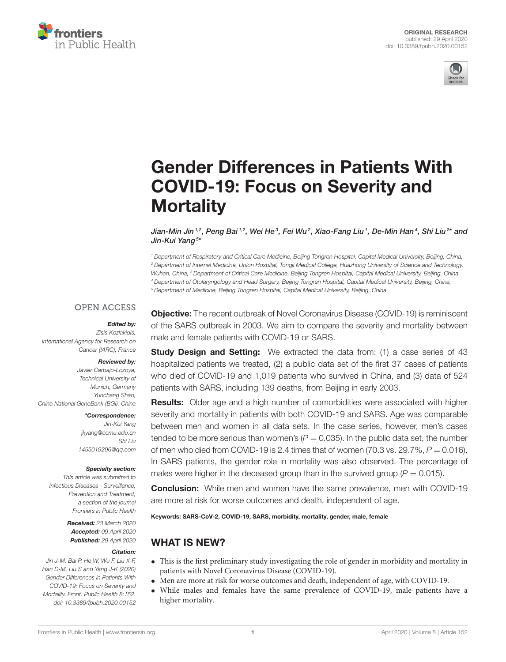



# [Gender Differences in Patients With](https://www.frontiersin.org/articles/10.3389/fpubh.2020.00152/full) COVID-19: Focus on Severity and **Mortality**

[Jian-Min Jin](http://loop.frontiersin.org/people/946155/overview) <sup>1.2</sup>, Peng Bai <sup>1.2</sup>, Wei He <sup>3</sup>, Fei Wu <sup>2</sup>, Xiao-Fang Liu <sup>1</sup>, De-Min Han <sup>4</sup>, Shi Liu <sup>2</sup>\* and [Jin-Kui Yang](http://loop.frontiersin.org/people/935003/overview)  $^{5\star}$ 

 *Department of Respiratory and Critical Care Medicine, Beijing Tongren Hospital, Capital Medical University, Beijing, China, Department of Internal Medicine, Union Hospital, Tongji Medical College, Huazhong University of Science and Technology, Wuhan, China, <sup>3</sup> Department of Critical Care Medicine, Beijing Tongren Hospital, Capital Medical University, Beijing, China, Department of Otolaryngology and Head Surgery, Beijing Tongren Hospital, Capital Medical University, Beijing, China, Department of Medicine, Beijing Tongren Hospital, Capital Medical University, Beijing, China*

#### **OPEN ACCESS**

# Edited by:

*Zisis Kozlakidis, International Agency for Research on Cancer (IARC), France*

#### Reviewed by:

*Javier Carbajo-Lozoya, Technical University of Munich, Germany Yunchang Shao, China National GeneBank (BGI), China*

> \*Correspondence: *Jin-Kui Yang [jkyang@ccmu.edu.cn](mailto:jkyang@ccmu.edu.cn) Shi Liu [1455019296@qq.com](mailto:1455019296@qq.com)*

#### Specialty section:

*This article was submitted to Infectious Diseases - Surveillance, Prevention and Treatment, a section of the journal Frontiers in Public Health*

> Received: *23 March 2020* Accepted: *09 April 2020* Published: *29 April 2020*

#### Citation:

*Jin J-M, Bai P, He W, Wu F, Liu X-F, Han D-M, Liu S and Yang J-K (2020) Gender Differences in Patients With COVID-19: Focus on Severity and Mortality. Front. Public Health 8:152. doi: [10.3389/fpubh.2020.00152](https://doi.org/10.3389/fpubh.2020.00152)* **Objective:** The recent outbreak of Novel Coronavirus Disease (COVID-19) is reminiscent of the SARS outbreak in 2003. We aim to compare the severity and mortality between male and female patients with COVID-19 or SARS.

**Study Design and Setting:** We extracted the data from: (1) a case series of 43 hospitalized patients we treated, (2) a public data set of the first 37 cases of patients who died of COVID-19 and 1,019 patients who survived in China, and (3) data of 524 patients with SARS, including 139 deaths, from Beijing in early 2003.

Results: Older age and a high number of comorbidities were associated with higher severity and mortality in patients with both COVID-19 and SARS. Age was comparable between men and women in all data sets. In the case series, however, men's cases tended to be more serious than women's  $(P = 0.035)$ . In the public data set, the number of men who died from COVID-19 is 2.4 times that of women (70.3 vs.  $29.7\%$ ,  $P = 0.016$ ). In SARS patients, the gender role in mortality was also observed. The percentage of males were higher in the deceased group than in the survived group  $(P = 0.015)$ .

**Conclusion:** While men and women have the same prevalence, men with COVID-19 are more at risk for worse outcomes and death, independent of age.

Keywords: SARS-CoV-2, COVID-19, SARS, morbidity, mortality, gender, male, female

# WHAT IS NEW?

- This is the first preliminary study investigating the role of gender in morbidity and mortality in patients with Novel Coronavirus Disease (COVID-19).
- Men are more at risk for worse outcomes and death, independent of age, with COVID-19.
- While males and females have the same prevalence of COVID-19, male patients have a higher mortality.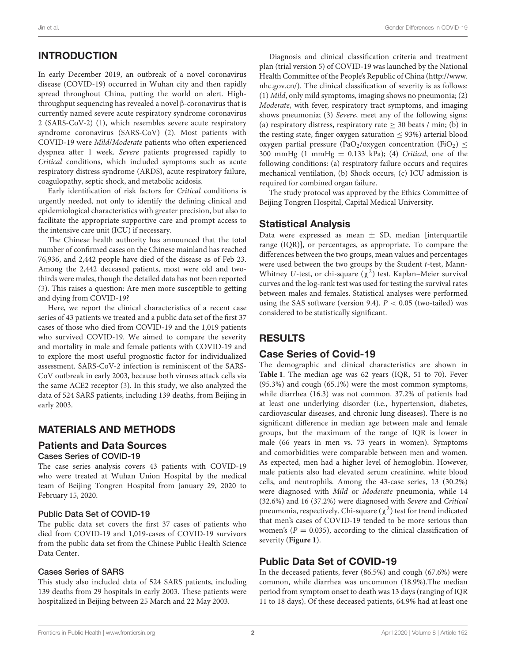# INTRODUCTION

In early December 2019, an outbreak of a novel coronavirus disease (COVID-19) occurred in Wuhan city and then rapidly spread throughout China, putting the world on alert. Highthroughput sequencing has revealed a novel β-coronavirus that is currently named severe acute respiratory syndrome coronavirus 2 (SARS-CoV-2) [\(1\)](#page-5-0), which resembles severe acute respiratory syndrome coronavirus (SARS-CoV) [\(2\)](#page-5-1). Most patients with COVID-19 were Mild/Moderate patients who often experienced dyspnea after 1 week. Severe patients progressed rapidly to Critical conditions, which included symptoms such as acute respiratory distress syndrome (ARDS), acute respiratory failure, coagulopathy, septic shock, and metabolic acidosis.

Early identification of risk factors for Critical conditions is urgently needed, not only to identify the defining clinical and epidemiological characteristics with greater precision, but also to facilitate the appropriate supportive care and prompt access to the intensive care unit (ICU) if necessary.

The Chinese health authority has announced that the total number of confirmed cases on the Chinese mainland has reached 76,936, and 2,442 people have died of the disease as of Feb 23. Among the 2,442 deceased patients, most were old and twothirds were males, though the detailed data has not been reported [\(3\)](#page-5-2). This raises a question: Are men more susceptible to getting and dying from COVID-19?

Here, we report the clinical characteristics of a recent case series of 43 patients we treated and a public data set of the first 37 cases of those who died from COVID-19 and the 1,019 patients who survived COVID-19. We aimed to compare the severity and mortality in male and female patients with COVID-19 and to explore the most useful prognostic factor for individualized assessment. SARS-CoV-2 infection is reminiscent of the SARS-CoV outbreak in early 2003, because both viruses attack cells via the same ACE2 receptor [\(3\)](#page-5-2). In this study, we also analyzed the data of 524 SARS patients, including 139 deaths, from Beijing in early 2003.

#### MATERIALS AND METHODS

#### Patients and Data Sources Cases Series of COVID-19

The case series analysis covers 43 patients with COVID-19 who were treated at Wuhan Union Hospital by the medical team of Beijing Tongren Hospital from January 29, 2020 to February 15, 2020.

#### Public Data Set of COVID-19

The public data set covers the first 37 cases of patients who died from COVID-19 and 1,019-cases of COVID-19 survivors from the public data set from the Chinese Public Health Science Data Center.

#### Cases Series of SARS

This study also included data of 524 SARS patients, including 139 deaths from 29 hospitals in early 2003. These patients were hospitalized in Beijing between 25 March and 22 May 2003.

Diagnosis and clinical classification criteria and treatment plan (trial version 5) of COVID-19 was launched by the National Health Committee of the People's Republic of China [\(http://www.](http://www.nhc.gov.cn/) [nhc.gov.cn/\)](http://www.nhc.gov.cn/). The clinical classification of severity is as follows: (1) Mild, only mild symptoms, imaging shows no pneumonia; (2) Moderate, with fever, respiratory tract symptoms, and imaging shows pneumonia; (3) Severe, meet any of the following signs: (a) respiratory distress, respiratory rate  $\geq$  30 beats / min; (b) in the resting state, finger oxygen saturation  $\leq$  93%) arterial blood oxygen partial pressure (PaO<sub>2</sub>/oxygen concentration (FiO<sub>2</sub>)  $\leq$ 300 mmHg  $(1 \text{ mmHg} = 0.133 \text{ kPa})$ ;  $(4)$  Critical, one of the following conditions: (a) respiratory failure occurs and requires mechanical ventilation, (b) Shock occurs, (c) ICU admission is required for combined organ failure.

The study protocol was approved by the Ethics Committee of Beijing Tongren Hospital, Capital Medical University.

#### Statistical Analysis

Data were expressed as mean  $\pm$  SD, median [interquartile range (IQR)], or percentages, as appropriate. To compare the differences between the two groups, mean values and percentages were used between the two groups by the Student t-test, Mann-Whitney *U*-test, or chi-square  $(\chi^2)$  test. Kaplan–Meier survival curves and the log-rank test was used for testing the survival rates between males and females. Statistical analyses were performed using the SAS software (version 9.4).  $P < 0.05$  (two-tailed) was considered to be statistically significant.

# RESULTS

#### Case Series of Covid-19

The demographic and clinical characteristics are shown in **[Table 1](#page-2-0)**. The median age was 62 years (IQR, 51 to 70). Fever (95.3%) and cough (65.1%) were the most common symptoms, while diarrhea (16.3) was not common. 37.2% of patients had at least one underlying disorder (i.e., hypertension, diabetes, cardiovascular diseases, and chronic lung diseases). There is no significant difference in median age between male and female groups, but the maximum of the range of IQR is lower in male (66 years in men vs. 73 years in women). Symptoms and comorbidities were comparable between men and women. As expected, men had a higher level of hemoglobin. However, male patients also had elevated serum creatinine, white blood cells, and neutrophils. Among the 43-case series, 13 (30.2%) were diagnosed with Mild or Moderate pneumonia, while 14 (32.6%) and 16 (37.2%) were diagnosed with Severe and Critical pneumonia, respectively. Chi-square  $(\chi^2)$  test for trend indicated that men's cases of COVID-19 tended to be more serious than women's ( $P = 0.035$ ), according to the clinical classification of severity (**[Figure 1](#page-2-1)**).

# Public Data Set of COVID-19

In the deceased patients, fever (86.5%) and cough (67.6%) were common, while diarrhea was uncommon (18.9%).The median period from symptom onset to death was 13 days (ranging of IQR 11 to 18 days). Of these deceased patients, 64.9% had at least one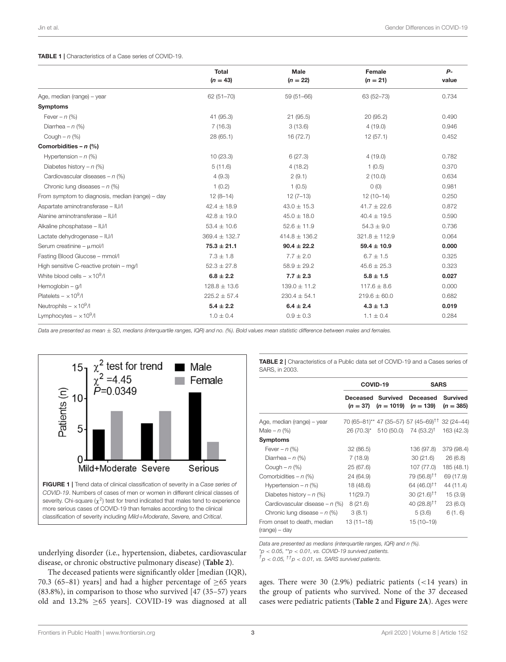#### <span id="page-2-0"></span>TABLE 1 | Characteristics of a Case series of COVID-19.

|                                                 | <b>Total</b><br>$(n = 43)$ | Male<br>$(n = 22)$ | Female<br>$(n = 21)$ | $P -$<br>value |
|-------------------------------------------------|----------------------------|--------------------|----------------------|----------------|
| Age, median (range) - year                      | $62(51 - 70)$              | $59(51 - 66)$      | 63 (52-73)           | 0.734          |
| <b>Symptoms</b>                                 |                            |                    |                      |                |
| Fever – $n$ (%)                                 | 41 (95.3)                  | 21(95.5)           | 20(95.2)             | 0.490          |
| Diarrhea - $n$ (%)                              | 7(16.3)                    | 3(13.6)            | 4(19.0)              | 0.946          |
| Cough $- n$ (%)                                 | 28 (65.1)                  | 16 (72.7)          | 12(57.1)             | 0.452          |
| Comorbidities - $n$ (%)                         |                            |                    |                      |                |
| Hypertension $- n$ (%)                          | 10(23.3)                   | 6(27.3)            | 4(19.0)              | 0.782          |
| Diabetes history – $n$ (%)                      | 5(11.6)                    | 4(18.2)            | 1(0.5)               | 0.370          |
| Cardiovascular diseases - $n$ (%)               | 4(9.3)                     | 2(9.1)             | 2(10.0)              | 0.634          |
| Chronic lung diseases $- n$ (%)                 | 1(0.2)                     | 1(0.5)             | 0(0)                 | 0.981          |
| From symptom to diagnosis, median (range) - day | $12(8-14)$                 | $12(7-13)$         | $12(10-14)$          | 0.250          |
| Aspartate aminotransferase - IU/I               | $42.4 \pm 18.9$            | $43.0 \pm 15.3$    | $41.7 \pm 22.6$      | 0.872          |
| Alanine aminotransferase - IU/I                 | $42.8 \pm 19.0$            | $45.0 \pm 18.0$    | $40.4 \pm 19.5$      | 0.590          |
| Alkaline phosphatase - IU/I                     | $53.4 \pm 10.6$            | $52.6 \pm 11.9$    | $54.3 \pm 9.0$       | 0.736          |
| Lactate dehydrogenase - IU/I                    | 369.4 ± 132.7              | $414.8 \pm 136.2$  | $321.8 \pm 112.9$    | 0.064          |
| Serum creatinine - $\mu$ mol/l                  | $75.3 \pm 21.1$            | $90.4 \pm 22.2$    | $59.4 \pm 10.9$      | 0.000          |
| Fasting Blood Glucose - mmol/l                  | $7.3 \pm 1.8$              | $7.7 \pm 2.0$      | $6.7 \pm 1.5$        | 0.325          |
| High sensitive C-reactive protein - mg/l        | $52.3 \pm 27.8$            | $58.9 \pm 29.2$    | $45.6 \pm 25.3$      | 0.323          |
| White blood cells $- \times 10^9$ /l            | $6.8 \pm 2.2$              | $7.7 \pm 2.3$      | $5.8 \pm 1.5$        | 0.027          |
| Hemoglobin - g/l                                | $128.8 \pm 13.6$           | $139.0 \pm 11.2$   | $117.6 \pm 8.6$      | 0.000          |
| Platelets $- \times 10^9$ /l                    | $225.2 \pm 57.4$           | $230.4 \pm 54.1$   | $219.6 \pm 60.0$     | 0.682          |
| Neutrophils $- \times 10^9$ /I                  | $5.4 \pm 2.2$              | $6.4 \pm 2.4$      | $4.3 \pm 1.3$        | 0.019          |
| Lymphocytes $- \times 10^9$ /I                  | $1.0 \pm 0.4$              | $0.9 \pm 0.3$      | $1.1 \pm 0.4$        | 0.284          |

*Data are presented as mean* ± *SD, medians (interquartile ranges, IQR) and no. (%). Bold values mean statistic difference between males and females.*



<span id="page-2-1"></span>underlying disorder (i.e., hypertension, diabetes, cardiovascular disease, or chronic obstructive pulmonary disease) (**[Table 2](#page-2-2)**).

The deceased patients were significantly older [median (IQR), 70.3 (65–81) years] and had a higher percentage of  $\geq$  65 years (83.8%), in comparison to those who survived [47 (35–57) years old and 13.2%  $\geq$  65 years]. COVID-19 was diagnosed at all <span id="page-2-2"></span>TABLE 2 | Characteristics of a Public data set of COVID-19 and a Cases series of SARS, in 2003.

|                                              | COVID-19                        |              | <b>SARS</b>                                      |                                |
|----------------------------------------------|---------------------------------|--------------|--------------------------------------------------|--------------------------------|
|                                              | Deceased Survived<br>$(n = 37)$ | $(n = 1019)$ | Deceased<br>$(n = 139)$                          | <b>Survived</b><br>$(n = 385)$ |
| Age, median (range) - year                   |                                 |              | 70 (65–81)** 47 (35–57) 57 (45–69) <sup>††</sup> | $32(24 - 44)$                  |
| Male – $n$ (%)                               |                                 |              | $26(70.3)^*$ 510 (50.0) 74 (53.2) <sup>†</sup>   | 163 (42.3)                     |
| <b>Symptoms</b>                              |                                 |              |                                                  |                                |
| Fever – $n$ (%)                              | 32 (86.5)                       |              | 136 (97.8)                                       | 379 (98.4)                     |
| Diarrhea – $n$ (%)                           | 7 (18.9)                        |              | 30(21.6)                                         | 26(6.8)                        |
| Cough $-n$ (%)                               | 25 (67.6)                       |              | 107 (77.0)                                       | 185 (48.1)                     |
| Comorbidities $- n$ (%)                      | 24 (64.9)                       |              | 79 (56.8) <sup>††</sup>                          | 69 (17.9)                      |
| Hypertension – $n$ (%)                       | 18 (48.6)                       |              | 64 (46.0) <sup>††</sup>                          | 44 (11.4)                      |
| Diabetes history – $n$ (%)                   | 11(29.7)                        |              | $30(21.6)^{+}$                                   | 15(3.9)                        |
| Cardiovascular disease – $n$ (%)             | 8(21.6)                         |              | 40 (28.8) <sup><math>\dagger</math>†</sup>       | 23(6.0)                        |
| Chronic lung disease $- n$ (%)               | 3(8.1)                          |              | 5(3.6)                                           | 6(1.6)                         |
| From onset to death, median<br>(range) – day | 13 (11–18)                      |              | $15(10-19)$                                      |                                |

*Data are presented as medians (interquartile ranges, IQR) and n (%).*

\**p* < *0.05,* \*\**p* < *0.01, vs. COVID-19 survived patients.*

 $\sigma^{\dagger}$ *p* < 0.05,  $^{\dagger\dagger}$ *p* < 0.01, vs. SARS survived patients.

ages. There were 30 (2.9%) pediatric patients  $(<14$  years) in the group of patients who survived. None of the 37 deceased cases were pediatric patients (**[Table 2](#page-2-2)** and **[Figure 2A](#page-3-0)**). Ages were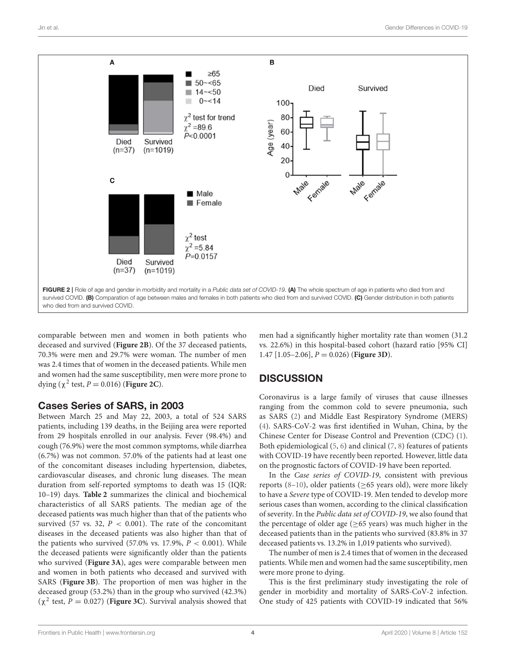

<span id="page-3-0"></span>comparable between men and women in both patients who deceased and survived (**[Figure 2B](#page-3-0)**). Of the 37 deceased patients, 70.3% were men and 29.7% were woman. The number of men was 2.4 times that of women in the deceased patients. While men and women had the same susceptibility, men were more prone to dying ( $\chi^2$  test,  $P = 0.016$ ) (**[Figure 2C](#page-3-0)**).

#### Cases Series of SARS, in 2003

Between March 25 and May 22, 2003, a total of 524 SARS patients, including 139 deaths, in the Beijing area were reported from 29 hospitals enrolled in our analysis. Fever (98.4%) and cough (76.9%) were the most common symptoms, while diarrhea (6.7%) was not common. 57.0% of the patients had at least one of the concomitant diseases including hypertension, diabetes, cardiovascular diseases, and chronic lung diseases. The mean duration from self-reported symptoms to death was 15 (IQR: 10–19) days. **[Table 2](#page-2-2)** summarizes the clinical and biochemical characteristics of all SARS patients. The median age of the deceased patients was much higher than that of the patients who survived (57 vs. 32,  $P < 0.001$ ). The rate of the concomitant diseases in the deceased patients was also higher than that of the patients who survived  $(57.0\% \text{ vs. } 17.9\%, P < 0.001)$ . While the deceased patients were significantly older than the patients who survived (**[Figure 3A](#page-4-0)**), ages were comparable between men and women in both patients who deceased and survived with SARS (**[Figure 3B](#page-4-0)**). The proportion of men was higher in the deceased group (53.2%) than in the group who survived (42.3%) (χ 2 test, P = 0.027) (**[Figure 3C](#page-4-0)**). Survival analysis showed that

men had a significantly higher mortality rate than women (31.2 vs. 22.6%) in this hospital-based cohort (hazard ratio [95% CI] 1.47 [1.05–2.06], P = 0.026) (**[Figure 3D](#page-4-0)**).

# **DISCUSSION**

Coronavirus is a large family of viruses that cause illnesses ranging from the common cold to severe pneumonia, such as SARS [\(2\)](#page-5-1) and Middle East Respiratory Syndrome (MERS) [\(4\)](#page-5-3). SARS-CoV-2 was first identified in Wuhan, China, by the Chinese Center for Disease Control and Prevention (CDC) [\(1\)](#page-5-0). Both epidemiological [\(5,](#page-5-4) [6\)](#page-5-5) and clinical [\(7,](#page-5-6) [8\)](#page-5-7) features of patients with COVID-19 have recently been reported. However, little data on the prognostic factors of COVID-19 have been reported.

In the Case series of COVID-19, consistent with previous reports [\(8–](#page-5-7)[10\)](#page-5-8), older patients ( $\geq$ 65 years old), were more likely to have a Severe type of COVID-19. Men tended to develop more serious cases than women, according to the clinical classification of severity. In the Public data set of COVID-19, we also found that the percentage of older age ( $\geq$ 65 years) was much higher in the deceased patients than in the patients who survived (83.8% in 37 deceased patients vs. 13.2% in 1,019 patients who survived).

The number of men is 2.4 times that of women in the deceased patients. While men and women had the same susceptibility, men were more prone to dying.

This is the first preliminary study investigating the role of gender in morbidity and mortality of SARS-CoV-2 infection. One study of 425 patients with COVID-19 indicated that 56%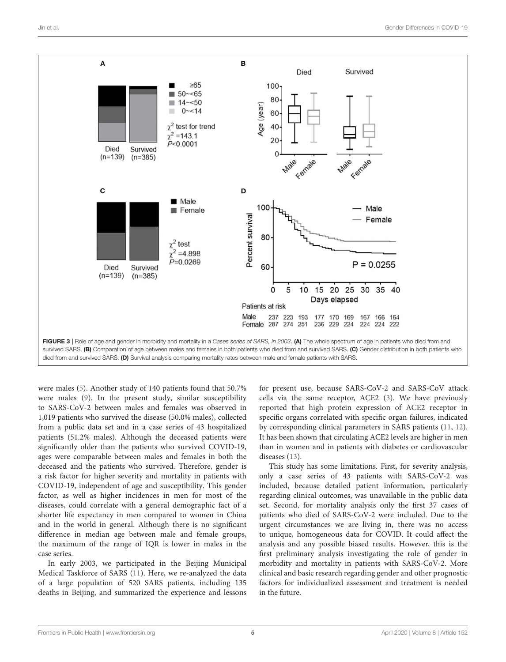

<span id="page-4-0"></span>were males [\(5\)](#page-5-4). Another study of 140 patients found that 50.7% were males [\(9\)](#page-5-9). In the present study, similar susceptibility to SARS-CoV-2 between males and females was observed in 1,019 patients who survived the disease (50.0% males), collected from a public data set and in a case series of 43 hospitalized patients (51.2% males). Although the deceased patients were significantly older than the patients who survived COVID-19, ages were comparable between males and females in both the deceased and the patients who survived. Therefore, gender is a risk factor for higher severity and mortality in patients with COVID-19, independent of age and susceptibility. This gender factor, as well as higher incidences in men for most of the diseases, could correlate with a general demographic fact of a shorter life expectancy in men compared to women in China and in the world in general. Although there is no significant difference in median age between male and female groups, the maximum of the range of IQR is lower in males in the case series.

In early 2003, we participated in the Beijing Municipal Medical Taskforce of SARS [\(11\)](#page-5-10). Here, we re-analyzed the data of a large population of 520 SARS patients, including 135 deaths in Beijing, and summarized the experience and lessons for present use, because SARS-CoV-2 and SARS-CoV attack cells via the same receptor, ACE2 [\(3\)](#page-5-2). We have previously reported that high protein expression of ACE2 receptor in specific organs correlated with specific organ failures, indicated by corresponding clinical parameters in SARS patients [\(11,](#page-5-10) [12\)](#page-5-11). It has been shown that circulating ACE2 levels are higher in men than in women and in patients with diabetes or cardiovascular diseases [\(13\)](#page-5-12).

This study has some limitations. First, for severity analysis, only a case series of 43 patients with SARS-CoV-2 was included, because detailed patient information, particularly regarding clinical outcomes, was unavailable in the public data set. Second, for mortality analysis only the first 37 cases of patients who died of SARS-CoV-2 were included. Due to the urgent circumstances we are living in, there was no access to unique, homogeneous data for COVID. It could affect the analysis and any possible biased results. However, this is the first preliminary analysis investigating the role of gender in morbidity and mortality in patients with SARS-CoV-2. More clinical and basic research regarding gender and other prognostic factors for individualized assessment and treatment is needed in the future.